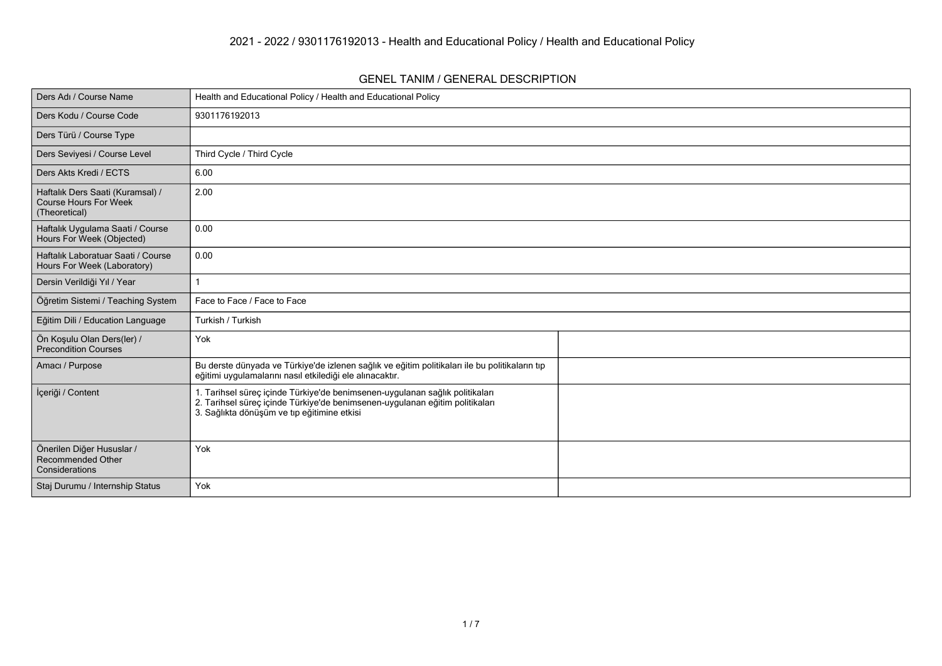## **GENEL TANIM / GENERAL DESCRIPTION**

| Ders Adı / Course Name                                                            | Health and Educational Policy / Health and Educational Policy                                                                                                                                               |  |
|-----------------------------------------------------------------------------------|-------------------------------------------------------------------------------------------------------------------------------------------------------------------------------------------------------------|--|
| Ders Kodu / Course Code                                                           | 9301176192013                                                                                                                                                                                               |  |
| Ders Türü / Course Type                                                           |                                                                                                                                                                                                             |  |
| Ders Seviyesi / Course Level                                                      | Third Cycle / Third Cycle                                                                                                                                                                                   |  |
| Ders Akts Kredi / ECTS                                                            | 6.00                                                                                                                                                                                                        |  |
| Haftalık Ders Saati (Kuramsal) /<br><b>Course Hours For Week</b><br>(Theoretical) | 2.00                                                                                                                                                                                                        |  |
| Haftalık Uygulama Saati / Course<br>Hours For Week (Objected)                     | 0.00                                                                                                                                                                                                        |  |
| Haftalık Laboratuar Saati / Course<br>Hours For Week (Laboratory)                 | 0.00                                                                                                                                                                                                        |  |
| Dersin Verildiği Yıl / Year                                                       |                                                                                                                                                                                                             |  |
| Öğretim Sistemi / Teaching System                                                 | Face to Face / Face to Face                                                                                                                                                                                 |  |
| Eğitim Dili / Education Language                                                  | Turkish / Turkish                                                                                                                                                                                           |  |
| Ön Koşulu Olan Ders(ler) /<br><b>Precondition Courses</b>                         | Yok                                                                                                                                                                                                         |  |
| Amacı / Purpose                                                                   | Bu derste dünyada ve Türkiye'de izlenen sağlık ve eğitim politikaları ile bu politikaların tıp<br>eğitimi uygulamalarını nasıl etkilediği ele alınacaktır.                                                  |  |
| İçeriği / Content                                                                 | 1. Tarihsel süreç içinde Türkiye'de benimsenen-uygulanan sağlık politikaları<br>2. Tarihsel süreç içinde Türkiye'de benimsenen-uygulanan eğitim politikaları<br>3. Sağlıkta dönüşüm ve tıp eğitimine etkisi |  |
| Önerilen Diğer Hususlar /<br><b>Recommended Other</b><br>Considerations           | Yok                                                                                                                                                                                                         |  |
| Staj Durumu / Internship Status                                                   | Yok                                                                                                                                                                                                         |  |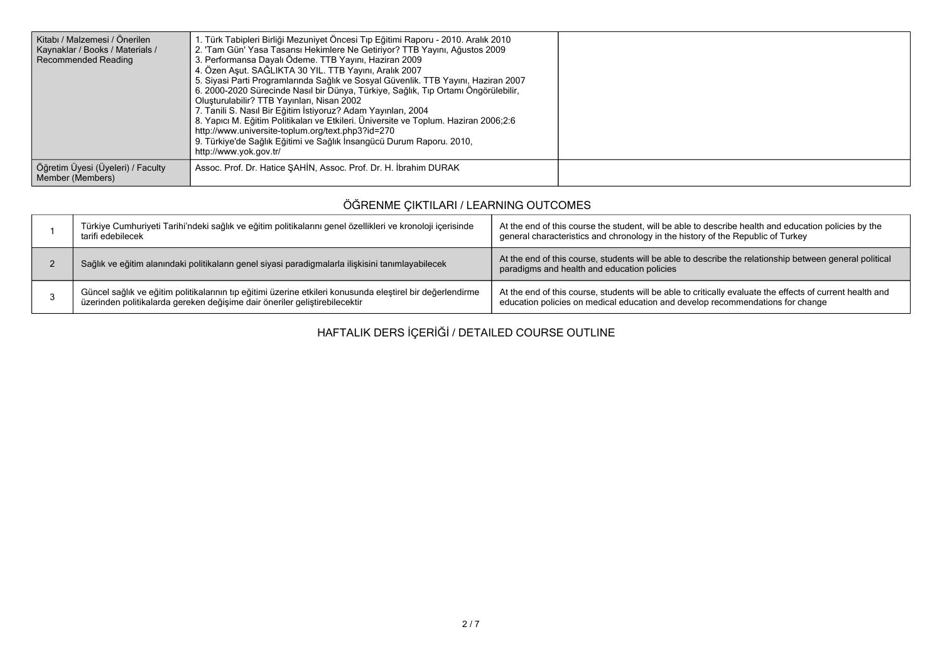| Kitabı / Malzemesi / Önerilen<br>Kaynaklar / Books / Materials /<br>Recommended Reading | 1. Türk Tabipleri Birliği Mezuniyet Öncesi Tıp Eğitimi Raporu - 2010. Aralık 2010<br>2. 'Tam Gün' Yasa Tasarısı Hekimlere Ne Getiriyor? TTB Yayını, Ağustos 2009<br>3. Performansa Dayalı Ödeme. TTB Yayını, Haziran 2009<br>4. Özen Asut. SAĞLIKTA 30 YIL. TTB Yayını, Aralık 2007<br>5. Siyasi Parti Programlarında Sağlık ve Sosyal Güvenlik. TTB Yayını, Haziran 2007<br>6. 2000-2020 Sürecinde Nasıl bir Dünya, Türkiye, Sağlık, Tıp Ortamı Öngörülebilir,<br>Oluşturulabilir? TTB Yayınları, Nisan 2002<br>7. Tanili S. Nasıl Bir Eğitim İstiyoruz? Adam Yayınları, 2004<br>8. Yapıcı M. Eğitim Politikaları ve Etkileri. Üniversite ve Toplum. Haziran 2006;2:6<br>http://www.universite-toplum.org/text.php3?id=270<br>9. Türkiye'de Sağlık Eğitimi ve Sağlık İnsangücü Durum Raporu. 2010,<br>http://www.yok.gov.tr/ |  |
|-----------------------------------------------------------------------------------------|-------------------------------------------------------------------------------------------------------------------------------------------------------------------------------------------------------------------------------------------------------------------------------------------------------------------------------------------------------------------------------------------------------------------------------------------------------------------------------------------------------------------------------------------------------------------------------------------------------------------------------------------------------------------------------------------------------------------------------------------------------------------------------------------------------------------------------|--|
| Öğretim Üyesi (Üyeleri) / Faculty<br>Member (Members)                                   | Assoc. Prof. Dr. Hatice SAHIN, Assoc. Prof. Dr. H. İbrahim DURAK                                                                                                                                                                                                                                                                                                                                                                                                                                                                                                                                                                                                                                                                                                                                                              |  |

## **ÖĞRENME ÇIKTILARI / LEARNING OUTCOMES**

| Türkiye Cumhuriyeti Tarihi'ndeki sağlık ve eğitim politikalarını genel özellikleri ve kronoloji içerisinde<br>tarifi edebilecek                                                          | At the end of this course the student, will be able to describe health and education policies by the<br>general characteristics and chronology in the history of the Republic of Turkey     |
|------------------------------------------------------------------------------------------------------------------------------------------------------------------------------------------|---------------------------------------------------------------------------------------------------------------------------------------------------------------------------------------------|
| Sağlık ve eğitim alanındaki politikaların genel siyasi paradigmalarla ilişkisini tanımlayabilecek                                                                                        | At the end of this course, students will be able to describe the relationship between general political<br>paradigms and health and education policies                                      |
| Güncel sağlık ve eğitim politikalarının tıp eğitimi üzerine etkileri konusunda eleştirel bir değerlendirme<br>üzerinden politikalarda gereken değişime dair öneriler geliştirebilecektir | At the end of this course, students will be able to critically evaluate the effects of current health and<br>education policies on medical education and develop recommendations for change |

**HAFTALIK DERS İÇERİĞİ / DETAILED COURSE OUTLINE**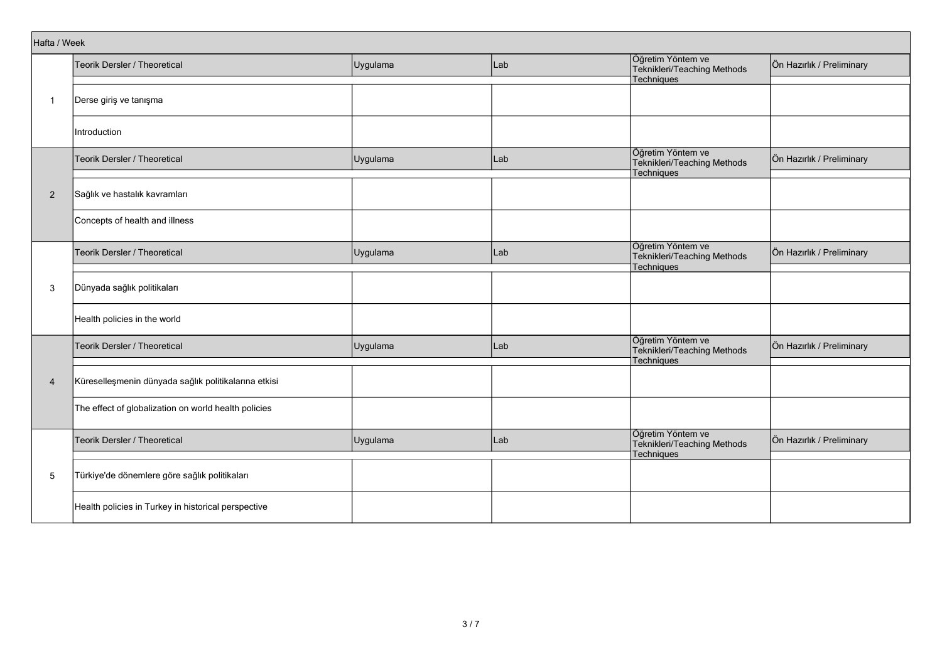| Hafta / Week   |                                                      |          |     |                                                                       |                           |
|----------------|------------------------------------------------------|----------|-----|-----------------------------------------------------------------------|---------------------------|
|                | Teorik Dersler / Theoretical                         | Uygulama | Lab | Öğretim Yöntem ve<br>Teknikleri/Teaching Methods<br><b>Techniques</b> | Ön Hazırlık / Preliminary |
| $\overline{1}$ | Derse giriş ve tanışma                               |          |     |                                                                       |                           |
|                | Introduction                                         |          |     |                                                                       |                           |
|                | Teorik Dersler / Theoretical                         | Uygulama | Lab | Öğretim Yöntem ve<br>Teknikleri/Teaching Methods<br>Techniques        | Ön Hazırlık / Preliminary |
| $\overline{2}$ | Sağlık ve hastalık kavramları                        |          |     |                                                                       |                           |
|                | Concepts of health and illness                       |          |     |                                                                       |                           |
|                | Teorik Dersler / Theoretical                         | Uygulama | Lab | Öğretim Yöntem ve<br>Teknikleri/Teaching Methods<br>Techniques        | Ön Hazırlık / Preliminary |
| 3              | Dünyada sağlık politikaları                          |          |     |                                                                       |                           |
|                | Health policies in the world                         |          |     |                                                                       |                           |
|                | Teorik Dersler / Theoretical                         | Uygulama | Lab | Öğretim Yöntem ve<br>Teknikleri/Teaching Methods<br>Techniques        | Ön Hazırlık / Preliminary |
| $\overline{4}$ | Küreselleşmenin dünyada sağlık politikalarına etkisi |          |     |                                                                       |                           |
|                | The effect of globalization on world health policies |          |     |                                                                       |                           |
|                | Teorik Dersler / Theoretical                         | Uygulama | Lab | Öğretim Yöntem ve<br>Teknikleri/Teaching Methods<br>Techniques        | Ön Hazırlık / Preliminary |
| 5              | Türkiye'de dönemlere göre sağlık politikaları        |          |     |                                                                       |                           |
|                | Health policies in Turkey in historical perspective  |          |     |                                                                       |                           |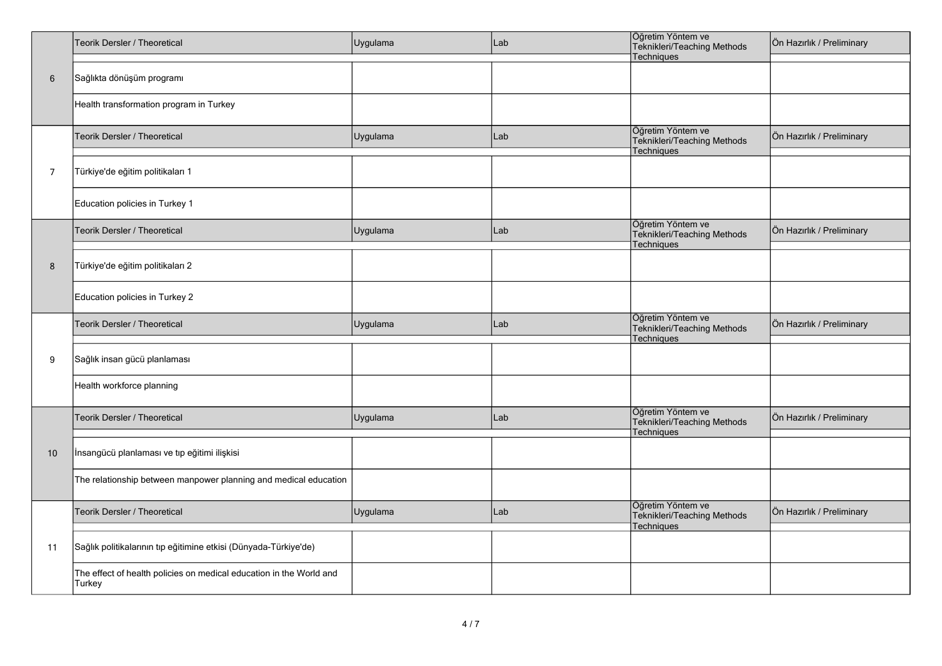|                | Teorik Dersler / Theoretical                                                  | Uygulama | Lab | Öğretim Yöntem ve<br>Teknikleri/Teaching Methods<br>Techniques        | Ön Hazırlık / Preliminary |
|----------------|-------------------------------------------------------------------------------|----------|-----|-----------------------------------------------------------------------|---------------------------|
| 6              | Sağlıkta dönüşüm programı                                                     |          |     |                                                                       |                           |
|                | Health transformation program in Turkey                                       |          |     |                                                                       |                           |
|                | Teorik Dersler / Theoretical                                                  | Uygulama | Lab | Öğretim Yöntem ve<br>Teknikleri/Teaching Methods<br><b>Techniques</b> | Ön Hazırlık / Preliminary |
| $\overline{7}$ | Türkiye'de eğitim politikaları 1                                              |          |     |                                                                       |                           |
|                | Education policies in Turkey 1                                                |          |     |                                                                       |                           |
|                | Teorik Dersler / Theoretical                                                  | Uygulama | Lab | Öğretim Yöntem ve<br>Teknikleri/Teaching Methods<br>Techniques        | Ön Hazırlık / Preliminary |
| 8              | Türkiye'de eğitim politikaları 2                                              |          |     |                                                                       |                           |
|                | Education policies in Turkey 2                                                |          |     |                                                                       |                           |
|                | Teorik Dersler / Theoretical                                                  | Uygulama | Lab | Öğretim Yöntem ve<br>Teknikleri/Teaching Methods<br><b>Techniques</b> | Ön Hazırlık / Preliminary |
| 9              | Sağlık insan gücü planlaması                                                  |          |     |                                                                       |                           |
|                | Health workforce planning                                                     |          |     |                                                                       |                           |
|                | Teorik Dersler / Theoretical                                                  | Uygulama | Lab | Öğretim Yöntem ve<br>Teknikleri/Teaching Methods<br>Techniques        | Ön Hazırlık / Preliminary |
| 10             | İnsangücü planlaması ve tıp eğitimi ilişkisi                                  |          |     |                                                                       |                           |
|                | The relationship between manpower planning and medical education              |          |     |                                                                       |                           |
|                | Teorik Dersler / Theoretical                                                  | Uygulama | Lab | Öğretim Yöntem ve<br>Teknikleri/Teaching Methods<br>Techniques        | Ön Hazırlık / Preliminary |
| 11             | Sağlık politikalarının tıp eğitimine etkisi (Dünyada-Türkiye'de)              |          |     |                                                                       |                           |
|                | The effect of health policies on medical education in the World and<br>Turkey |          |     |                                                                       |                           |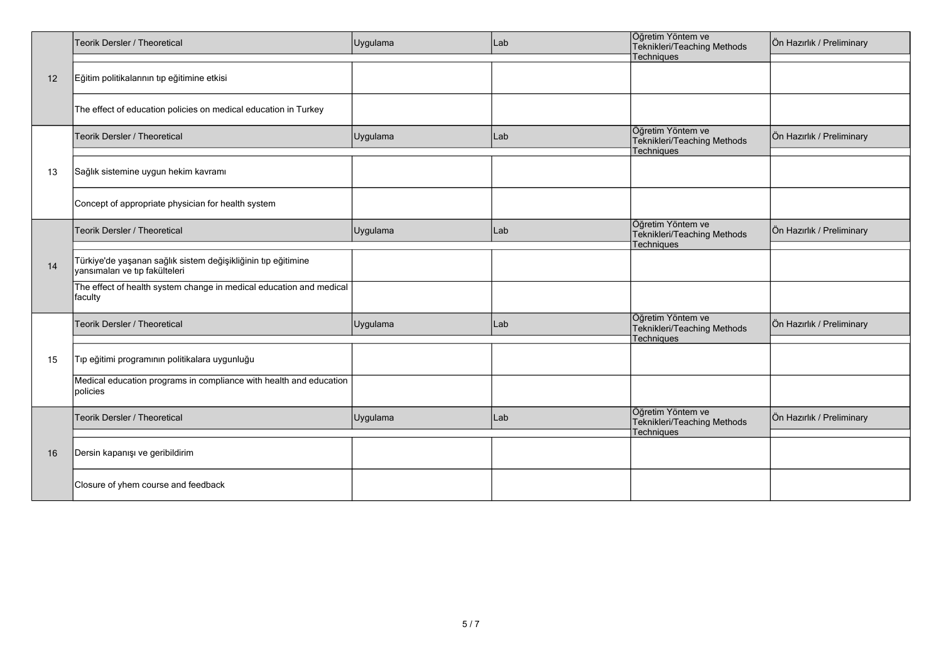|    | Teorik Dersler / Theoretical                                                                    | Uygulama | Lab | Öğretim Yöntem ve<br>Teknikleri/Teaching Methods                      | Ön Hazırlık / Preliminary |
|----|-------------------------------------------------------------------------------------------------|----------|-----|-----------------------------------------------------------------------|---------------------------|
| 12 | Eğitim politikalarının tıp eğitimine etkisi                                                     |          |     | Techniques                                                            |                           |
|    | The effect of education policies on medical education in Turkey                                 |          |     |                                                                       |                           |
|    | Teorik Dersler / Theoretical                                                                    | Uygulama | Lab | Öğretim Yöntem ve<br>Teknikleri/Teaching Methods<br>Techniques        | Ön Hazırlık / Preliminary |
| 13 | Sağlık sistemine uygun hekim kavramı                                                            |          |     |                                                                       |                           |
|    | Concept of appropriate physician for health system                                              |          |     |                                                                       |                           |
|    | Teorik Dersler / Theoretical                                                                    | Uygulama | Lab | Öğretim Yöntem ve<br>Teknikleri/Teaching Methods<br><b>Techniques</b> | Ön Hazırlık / Preliminary |
| 14 | Türkiye'de yaşanan sağlık sistem değişikliğinin tıp eğitimine<br>yansımaları ve tıp fakülteleri |          |     |                                                                       |                           |
|    | The effect of health system change in medical education and medical<br>faculty                  |          |     |                                                                       |                           |
|    | <b>Teorik Dersler / Theoretical</b>                                                             | Uygulama | Lab | Öğretim Yöntem ve<br>Teknikleri/Teaching Methods<br>Techniques        | Ön Hazırlık / Preliminary |
| 15 | Tıp eğitimi programının politikalara uygunluğu                                                  |          |     |                                                                       |                           |
|    | Medical education programs in compliance with health and education<br>policies                  |          |     |                                                                       |                           |
|    | Teorik Dersler / Theoretical                                                                    | Uygulama | Lab | Öğretim Yöntem ve<br>Teknikleri/Teaching Methods<br><b>Techniques</b> | Ön Hazırlık / Preliminary |
| 16 | Dersin kapanışı ve geribildirim                                                                 |          |     |                                                                       |                           |
|    | Closure of yhem course and feedback                                                             |          |     |                                                                       |                           |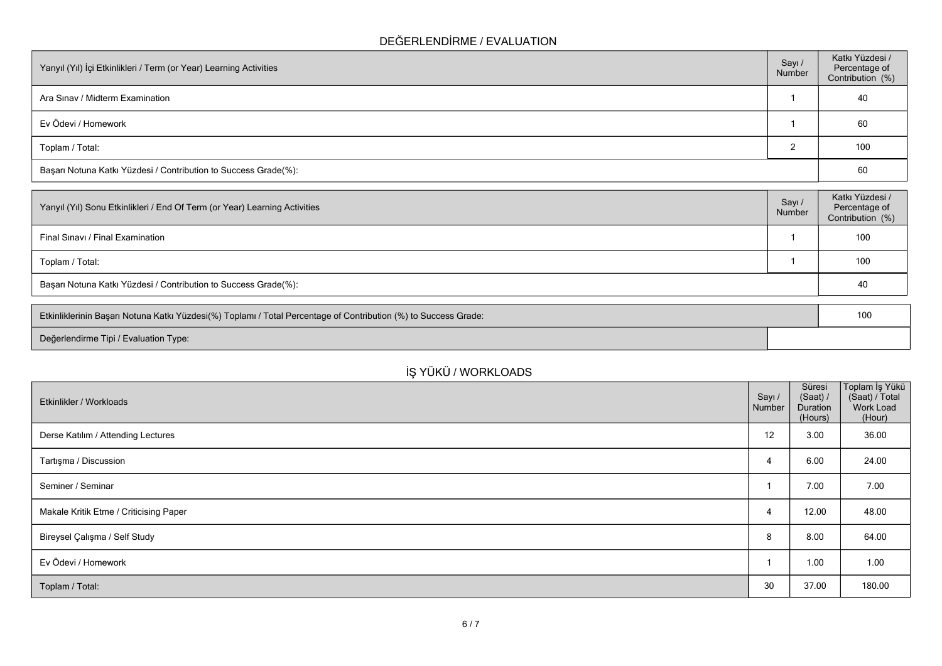## **DEĞERLENDİRME / EVALUATION**

| Yarıyıl (Yıl) İçi Etkinlikleri / Term (or Year) Learning Activities | Sayı/<br>Number | Katkı Yüzdesi /<br>Percentage of<br>Contribution (%) |
|---------------------------------------------------------------------|-----------------|------------------------------------------------------|
| Ara Sinav / Midterm Examination                                     |                 | 40                                                   |
| Ev Ödevi / Homework                                                 |                 | 60                                                   |
| Toplam / Total:                                                     |                 | 100                                                  |
| Başarı Notuna Katkı Yüzdesi / Contribution to Success Grade(%):     |                 | 60                                                   |

| Yarıyıl (Yıl) Sonu Etkinlikleri / End Of Term (or Year) Learning Activities | Sayı /<br>Number | Katkı Yüzdesi /<br>Percentage of<br>Contribution (%) |
|-----------------------------------------------------------------------------|------------------|------------------------------------------------------|
| Final Sinavi / Final Examination                                            |                  | 100                                                  |
| Toplam / Total:                                                             |                  | 100                                                  |
| Başarı Notuna Katkı Yüzdesi / Contribution to Success Grade(%):             |                  | 40                                                   |

| Etkinliklerinin Başarı Notuna Katkı Yüzdesi(%) Toplamı / Total Percentage of Contribution (%) to Success Grade: | 100 |
|-----------------------------------------------------------------------------------------------------------------|-----|
| Değerlendirme Tipi / Evaluation Type:                                                                           |     |

| İŞ YÜKÜ / WORKLOADS                    |                  |                                           |                                                         |
|----------------------------------------|------------------|-------------------------------------------|---------------------------------------------------------|
| Etkinlikler / Workloads                | Sayı /<br>Number | Süresi<br>(Saat) /<br>Duration<br>(Hours) | Toplam İş Yükü<br>(Saat) / Total<br>Work Load<br>(Hour) |
| Derse Katılım / Attending Lectures     | 12               | 3.00                                      | 36.00                                                   |
| Tartışma / Discussion                  | 4                | 6.00                                      | 24.00                                                   |
| Seminer / Seminar                      |                  | 7.00                                      | 7.00                                                    |
| Makale Kritik Etme / Criticising Paper | 4                | 12.00                                     | 48.00                                                   |
| Bireysel Çalışma / Self Study          | 8                | 8.00                                      | 64.00                                                   |
| Ev Ödevi / Homework                    |                  | 1.00                                      | 1.00                                                    |
| Toplam / Total:                        | 30               | 37.00                                     | 180.00                                                  |